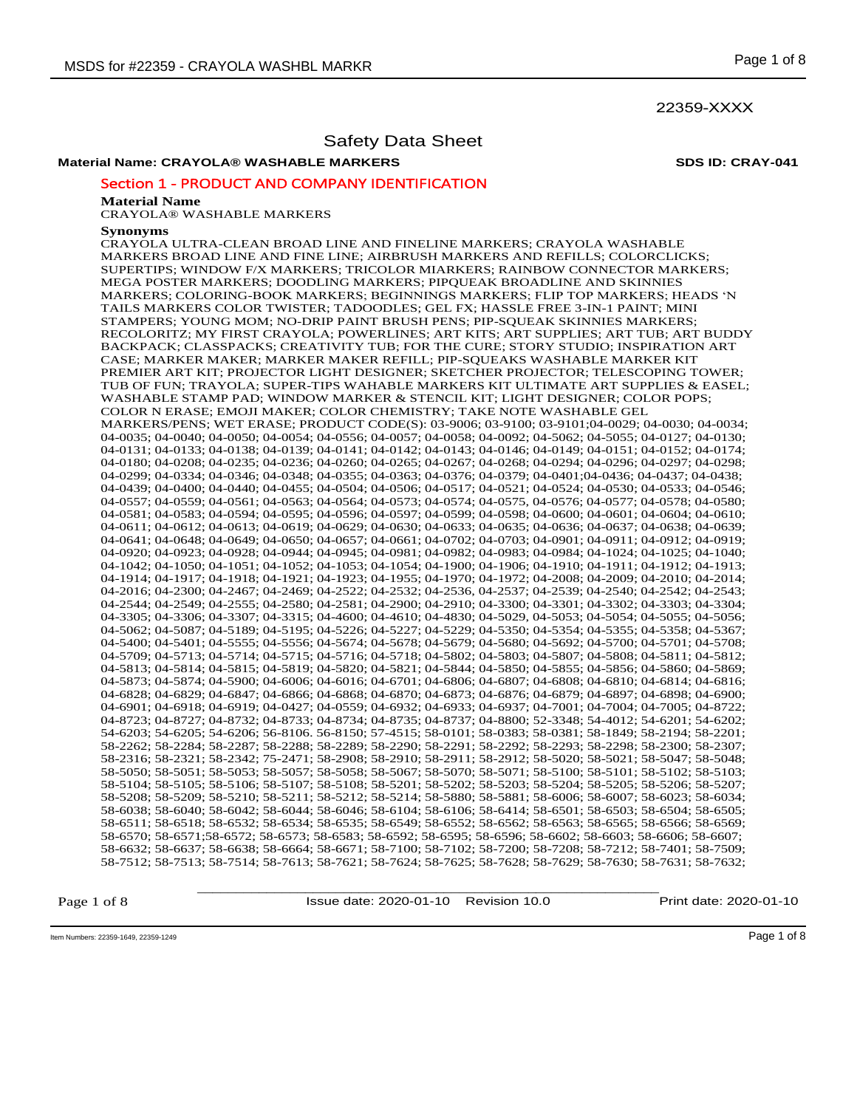### 22359-XXXX

### Safety Data Sheet

# **Material Name: CRAYOLA® WASHABLE MARKERS SDS ID: CRAY-041**

### Section 1 - PRODUCT AND COMPANY IDENTIFICATION

#### **Material Name**

CRAYOLA® WASHABLE MARKERS

#### **Synonyms**

CRAYOLA ULTRA-CLEAN BROAD LINE AND FINELINE MARKERS; CRAYOLA WASHABLE MARKERS BROAD LINE AND FINE LINE; AIRBRUSH MARKERS AND REFILLS; COLORCLICKS; SUPERTIPS; WINDOW F/X MARKERS; TRICOLOR MIARKERS; RAINBOW CONNECTOR MARKERS; MEGA POSTER MARKERS; DOODLING MARKERS; PIPQUEAK BROADLINE AND SKINNIES MARKERS; COLORING-BOOK MARKERS; BEGINNINGS MARKERS; FLIP TOP MARKERS; HEADS 'N TAILS MARKERS COLOR TWISTER; TADOODLES; GEL FX; HASSLE FREE 3-IN-1 PAINT; MINI STAMPERS; YOUNG MOM; NO-DRIP PAINT BRUSH PENS; PIP-SQUEAK SKINNIES MARKERS; RECOLORITZ; MY FIRST CRAYOLA; POWERLINES; ART KITS; ART SUPPLIES; ART TUB; ART BUDDY BACKPACK; CLASSPACKS; CREATIVITY TUB; FOR THE CURE; STORY STUDIO; INSPIRATION ART CASE; MARKER MAKER; MARKER MAKER REFILL; PIP-SQUEAKS WASHABLE MARKER KIT PREMIER ART KIT; PROJECTOR LIGHT DESIGNER; SKETCHER PROJECTOR; TELESCOPING TOWER; TUB OF FUN; TRAYOLA; SUPER-TIPS WAHABLE MARKERS KIT ULTIMATE ART SUPPLIES & EASEL; WASHABLE STAMP PAD; WINDOW MARKER & STENCIL KIT; LIGHT DESIGNER; COLOR POPS; COLOR N ERASE; EMOJI MAKER; COLOR CHEMISTRY; TAKE NOTE WASHABLE GEL MARKERS/PENS; WET ERASE; PRODUCT CODE(S): 03-9006; 03-9100; 03-9101;04-0029; 04-0030; 04-0034; 04-0035; 04-0040; 04-0050; 04-0054; 04-0556; 04-0057; 04-0058; 04-0092; 04-5062; 04-5055; 04-0127; 04-0130; 04-0131; 04-0133; 04-0138; 04-0139; 04-0141; 04-0142; 04-0143; 04-0146; 04-0149; 04-0151; 04-0152; 04-0174; 04-0180; 04-0208; 04-0235; 04-0236; 04-0260; 04-0265; 04-0267; 04-0268; 04-0294; 04-0296; 04-0297; 04-0298; 04-0299; 04-0334; 04-0346; 04-0348; 04-0355; 04-0363; 04-0376; 04-0379; 04-0401;04-0436; 04-0437; 04-0438; 04-0439; 04-0400; 04-0440; 04-0455; 04-0504; 04-0506; 04-0517; 04-0521; 04-0524; 04-0530; 04-0533; 04-0546; 04-0557; 04-0559; 04-0561; 04-0563; 04-0564; 04-0573; 04-0574; 04-0575, 04-0576; 04-0577; 04-0578; 04-0580; 04-0581; 04-0583; 04-0594; 04-0595; 04-0596; 04-0597; 04-0599; 04-0598; 04-0600; 04-0601; 04-0604; 04-0610; 04-0611; 04-0612; 04-0613; 04-0619; 04-0629; 04-0630; 04-0633; 04-0635; 04-0636; 04-0637; 04-0638; 04-0639; 04-0641; 04-0648; 04-0649; 04-0650; 04-0657; 04-0661; 04-0702; 04-0703; 04-0901; 04-0911; 04-0912; 04-0919; 04-0920; 04-0923; 04-0928; 04-0944; 04-0945; 04-0981; 04-0982; 04-0983; 04-0984; 04-1024; 04-1025; 04-1040; 04-1042; 04-1050; 04-1051; 04-1052; 04-1053; 04-1054; 04-1900; 04-1906; 04-1910; 04-1911; 04-1912; 04-1913; 04-1914; 04-1917; 04-1918; 04-1921; 04-1923; 04-1955; 04-1970; 04-1972; 04-2008; 04-2009; 04-2010; 04-2014; 04-2016; 04-2300; 04-2467; 04-2469; 04-2522; 04-2532; 04-2536, 04-2537; 04-2539; 04-2540; 04-2542; 04-2543; 04-2544; 04-2549; 04-2555; 04-2580; 04-2581; 04-2900; 04-2910; 04-3300; 04-3301; 04-3302; 04-3303; 04-3304; 04-3305; 04-3306; 04-3307; 04-3315; 04-4600; 04-4610; 04-4830; 04-5029, 04-5053; 04-5054; 04-5055; 04-5056; 04-5062; 04-5087; 04-5189; 04-5195; 04-5226; 04-5227; 04-5229; 04-5350; 04-5354; 04-5355; 04-5358; 04-5367; 04-5400; 04-5401; 04-5555; 04-5556; 04-5674; 04-5678; 04-5679; 04-5680; 04-5692; 04-5700; 04-5701; 04-5708; 04-5709; 04-5713; 04-5714; 04-5715; 04-5716; 04-5718; 04-5802; 04-5803; 04-5807; 04-5808; 04-5811; 04-5812; 04-5813; 04-5814; 04-5815; 04-5819; 04-5820; 04-5821; 04-5844; 04-5850; 04-5855; 04-5856; 04-5860; 04-5869; 04-5873; 04-5874; 04-5900; 04-6006; 04-6016; 04-6701; 04-6806; 04-6807; 04-6808; 04-6810; 04-6814; 04-6816; 04-6828; 04-6829; 04-6847; 04-6866; 04-6868; 04-6870; 04-6873; 04-6876; 04-6879; 04-6897; 04-6898; 04-6900; 04-6901; 04-6918; 04-6919; 04-0427; 04-0559; 04-6932; 04-6933; 04-6937; 04-7001; 04-7004; 04-7005; 04-8722; 04-8723; 04-8727; 04-8732; 04-8733; 04-8734; 04-8735; 04-8737; 04-8800; 52-3348; 54-4012; 54-6201; 54-6202; 54-6203; 54-6205; 54-6206; 56-8106. 56-8150; 57-4515; 58-0101; 58-0383; 58-0381; 58-1849; 58-2194; 58-2201; 58-2262; 58-2284; 58-2287; 58-2288; 58-2289; 58-2290; 58-2291; 58-2292; 58-2293; 58-2298; 58-2300; 58-2307; 58-2316; 58-2321; 58-2342; 75-2471; 58-2908; 58-2910; 58-2911; 58-2912; 58-5020; 58-5021; 58-5047; 58-5048; 58-5050; 58-5051; 58-5053; 58-5057; 58-5058; 58-5067; 58-5070; 58-5071; 58-5100; 58-5101; 58-5102; 58-5103; 58-5104; 58-5105; 58-5106; 58-5107; 58-5108; 58-5201; 58-5202; 58-5203; 58-5204; 58-5205; 58-5206; 58-5207; 58-5208; 58-5209; 58-5210; 58-5211; 58-5212; 58-5214; 58-5880; 58-5881; 58-6006; 58-6007; 58-6023; 58-6034; 58-6038; 58-6040; 58-6042; 58-6044; 58-6046; 58-6104; 58-6106; 58-6414; 58-6501; 58-6503; 58-6504; 58-6505; 58-6511; 58-6518; 58-6532; 58-6534; 58-6535; 58-6549; 58-6552; 58-6562; 58-6563; 58-6565; 58-6566; 58-6569; 58-6570; 58-6571;58-6572; 58-6573; 58-6583; 58-6592; 58-6595; 58-6596; 58-6602; 58-6603; 58-6606; 58-6607; 58-6632; 58-6637; 58-6638; 58-6664; 58-6671; 58-7100; 58-7102; 58-7200; 58-7208; 58-7212; 58-7401; 58-7509; 58-7512; 58-7513; 58-7514; 58-7613; 58-7621; 58-7624; 58-7625; 58-7628; 58-7629; 58-7630; 58-7631; 58-7632;

Page 1 of 8

\_\_\_\_\_\_\_\_\_\_\_\_\_\_\_\_\_\_\_\_\_\_\_\_\_\_\_\_\_\_\_\_\_\_\_\_\_\_\_\_\_\_\_\_\_\_\_\_\_\_\_\_\_\_\_\_\_\_\_\_ Issue date: 2020-01-10 Revision 10.0 Print date: 2020-01-10

Item Numbers: 22359-1649, 22359-1249 Page 1 of 8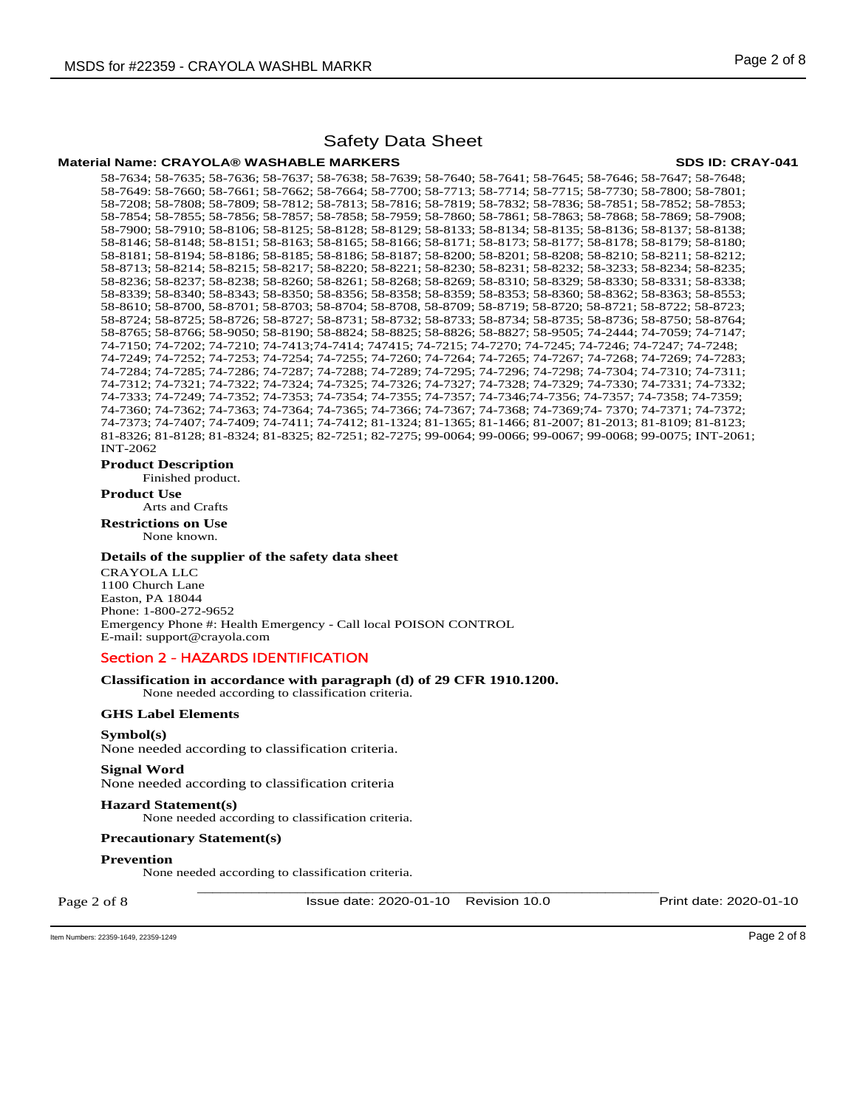#### **Material Name: CRAYOLA® WASHABLE MARKERS SDS ID: CRAY-041**

58-7634; 58-7635; 58-7636; 58-7637; 58-7638; 58-7639; 58-7640; 58-7641; 58-7645; 58-7646; 58-7647; 58-7648; 58-7649: 58-7660; 58-7661; 58-7662; 58-7664; 58-7700; 58-7713; 58-7714; 58-7715; 58-7730; 58-7800; 58-7801; 58-7208; 58-7808; 58-7809; 58-7812; 58-7813; 58-7816; 58-7819; 58-7832; 58-7836; 58-7851; 58-7852; 58-7853; 58-7854; 58-7855; 58-7856; 58-7857; 58-7858; 58-7959; 58-7860; 58-7861; 58-7863; 58-7868; 58-7869; 58-7908; 58-7900; 58-7910; 58-8106; 58-8125; 58-8128; 58-8129; 58-8133; 58-8134; 58-8135; 58-8136; 58-8137; 58-8138; 58-8146; 58-8148; 58-8151; 58-8163; 58-8165; 58-8166; 58-8171; 58-8173; 58-8177; 58-8178; 58-8179; 58-8180; 58-8181; 58-8194; 58-8186; 58-8185; 58-8186; 58-8187; 58-8200; 58-8201; 58-8208; 58-8210; 58-8211; 58-8212; 58-8713; 58-8214; 58-8215; 58-8217; 58-8220; 58-8221; 58-8230; 58-8231; 58-8232; 58-3233; 58-8234; 58-8235; 58-8236; 58-8237; 58-8238; 58-8260; 58-8261; 58-8268; 58-8269; 58-8310; 58-8329; 58-8330; 58-8331; 58-8338; 58-8339; 58-8340; 58-8343; 58-8350; 58-8356; 58-8358; 58-8359; 58-8353; 58-8360; 58-8362; 58-8363; 58-8553; 58-8610; 58-8700, 58-8701; 58-8703; 58-8704; 58-8708, 58-8709; 58-8719; 58-8720; 58-8721; 58-8722; 58-8723; 58-8724; 58-8725; 58-8726; 58-8727; 58-8731; 58-8732; 58-8733; 58-8734; 58-8735; 58-8736; 58-8750; 58-8764; 58-8765; 58-8766; 58-9050; 58-8190; 58-8824; 58-8825; 58-8826; 58-8827; 58-9505; 74-2444; 74-7059; 74-7147; 74-7150; 74-7202; 74-7210; 74-7413;74-7414; 747415; 74-7215; 74-7270; 74-7245; 74-7246; 74-7247; 74-7248; 74-7249; 74-7252; 74-7253; 74-7254; 74-7255; 74-7260; 74-7264; 74-7265; 74-7267; 74-7268; 74-7269; 74-7283; 74-7284; 74-7285; 74-7286; 74-7287; 74-7288; 74-7289; 74-7295; 74-7296; 74-7298; 74-7304; 74-7310; 74-7311; 74-7312; 74-7321; 74-7322; 74-7324; 74-7325; 74-7326; 74-7327; 74-7328; 74-7329; 74-7330; 74-7331; 74-7332; 74-7333; 74-7249; 74-7352; 74-7353; 74-7354; 74-7355; 74-7357; 74-7346;74-7356; 74-7357; 74-7358; 74-7359; 74-7360; 74-7362; 74-7363; 74-7364; 74-7365; 74-7366; 74-7367; 74-7368; 74-7369;74- 7370; 74-7371; 74-7372; 74-7373; 74-7407; 74-7409; 74-7411; 74-7412; 81-1324; 81-1365; 81-1466; 81-2007; 81-2013; 81-8109; 81-8123; 81-8326; 81-8128; 81-8324; 81-8325; 82-7251; 82-7275; 99-0064; 99-0066; 99-0067; 99-0068; 99-0075; INT-2061; INT-2062

**Product Description** 

Finished product.

**Product Use** Arts and Crafts

**Restrictions on Use**

None known.

#### **Details of the supplier of the safety data sheet**

CRAYOLA LLC 1100 Church Lane Easton, PA 18044 Phone: 1-800-272-9652 Emergency Phone #: Health Emergency - Call local POISON CONTROL E-mail: support@crayola.com

### Section 2 - HAZARDS IDENTIFICATION

### **Classification in accordance with paragraph (d) of 29 CFR 1910.1200.**

None needed according to classification criteria.

### **GHS Label Elements**

**Symbol(s)**  None needed according to classification criteria.

### **Signal Word**

None needed according to classification criteria

#### **Hazard Statement(s)**

None needed according to classification criteria.

#### **Precautionary Statement(s)**

**Prevention** 

None needed according to classification criteria.

Page 2 of 8

\_\_\_\_\_\_\_\_\_\_\_\_\_\_\_\_\_\_\_\_\_\_\_\_\_\_\_\_\_\_\_\_\_\_\_\_\_\_\_\_\_\_\_\_\_\_\_\_\_\_\_\_\_\_\_\_\_\_\_\_ Issue date: 2020-01-10 Revision 10.0 Print date: 2020-01-10

Item Numbers: 22359-1649, 22359-1249 Page 2 of 8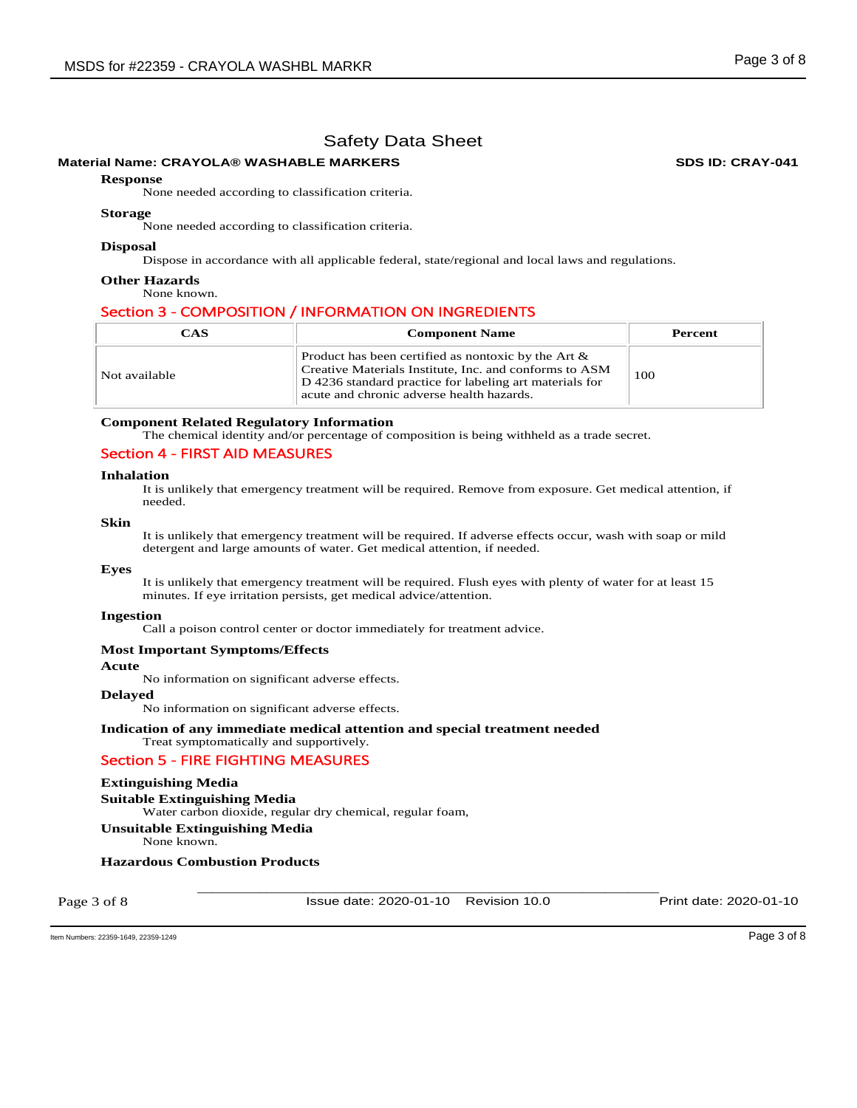# **Material Name: CRAYOLA® WASHABLE MARKERS SDS ID: CRAY-041**

#### **Response**

None needed according to classification criteria.

#### **Storage**

None needed according to classification criteria.

#### **Disposal**

Dispose in accordance with all applicable federal, state/regional and local laws and regulations.

#### **Other Hazards**

None known.

### Section 3 - COMPOSITION / INFORMATION ON INGREDIENTS

| <b>CAS</b>    | <b>Component Name</b>                                                                                                                                                                                                    | Percent |
|---------------|--------------------------------------------------------------------------------------------------------------------------------------------------------------------------------------------------------------------------|---------|
| Not available | Product has been certified as nontoxic by the Art $\&$<br>Creative Materials Institute, Inc. and conforms to ASM<br>D 4236 standard practice for labeling art materials for<br>acute and chronic adverse health hazards. | 100     |

#### **Component Related Regulatory Information**

The chemical identity and/or percentage of composition is being withheld as a trade secret.

#### Section 4 - FIRST AID MEASURES

#### **Inhalation**

It is unlikely that emergency treatment will be required. Remove from exposure. Get medical attention, if needed.

#### **Skin**

It is unlikely that emergency treatment will be required. If adverse effects occur, wash with soap or mild detergent and large amounts of water. Get medical attention, if needed.

#### **Eyes**

It is unlikely that emergency treatment will be required. Flush eyes with plenty of water for at least 15 minutes. If eye irritation persists, get medical advice/attention.

#### **Ingestion**

Call a poison control center or doctor immediately for treatment advice.

#### **Most Important Symptoms/Effects**

#### **Acute**

No information on significant adverse effects.

#### **Delayed**

No information on significant adverse effects.

#### **Indication of any immediate medical attention and special treatment needed**  Treat symptomatically and supportively.

# Section 5 - FIRE FIGHTING MEASURES

# **Extinguishing Media**

**Suitable Extinguishing Media**  Water carbon dioxide, regular dry chemical, regular foam, **Unsuitable Extinguishing Media**

None known.

## **Hazardous Combustion Products**

Page 3 of 8

\_\_\_\_\_\_\_\_\_\_\_\_\_\_\_\_\_\_\_\_\_\_\_\_\_\_\_\_\_\_\_\_\_\_\_\_\_\_\_\_\_\_\_\_\_\_\_\_\_\_\_\_\_\_\_\_\_\_\_\_ Issue date: 2020-01-10 Revision 10.0 Print date: 2020-01-10

Item Numbers: 22359-1649, 22359-1249 Page 3 of 8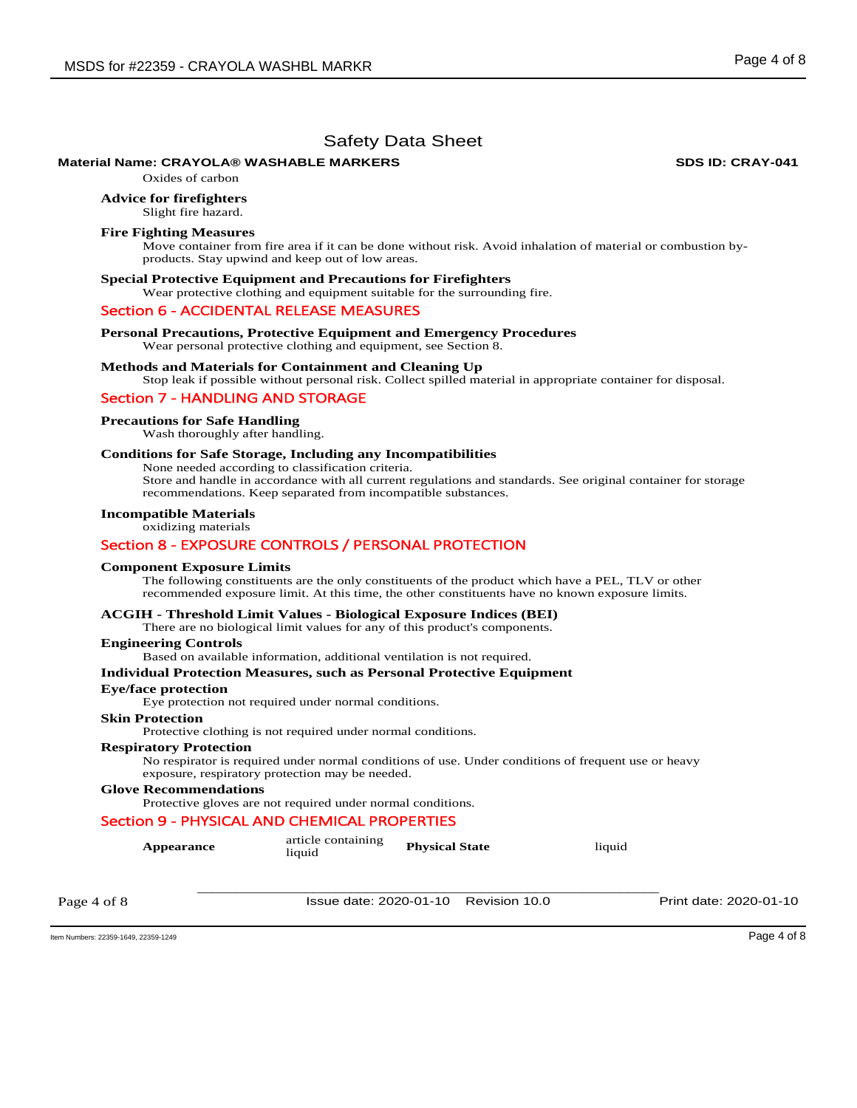### **Material Name: CRAYOLA® WASHABLE MARKERS 
WASHABLE MARKERS**

Oxides of carbon

**Advice for firefighters** 

Slight fire hazard.

#### **Fire Fighting Measures**

Move container from fire area if it can be done without risk. Avoid inhalation of material or combustion byproducts. Stay upwind and keep out of low areas.

#### **Special Protective Equipment and Precautions for Firefighters**

Wear protective clothing and equipment suitable for the surrounding fire.

#### Section 6 - ACCIDENTAL RELEASE MEASURES

**Personal Precautions, Protective Equipment and Emergency Procedures** 

Wear personal protective clothing and equipment, see Section 8.

#### **Methods and Materials for Containment and Cleaning Up**

Stop leak if possible without personal risk. Collect spilled material in appropriate container for disposal.

#### Section 7 - HANDLING AND STORAGE

#### **Precautions for Safe Handling**

Wash thoroughly after handling.

#### **Conditions for Safe Storage, Including any Incompatibilities**

None needed according to classification criteria. Store and handle in accordance with all current regulations and standards. See original container for storage

recommendations. Keep separated from incompatible substances.

# **Incompatible Materials**

### oxidizing materials Section 8 - EXPOSURE CONTROLS / PERSONAL PROTECTION

# **Component Exposure Limits**

The following constituents are the only constituents of the product which have a PEL, TLV or other recommended exposure limit. At this time, the other constituents have no known exposure limits.

### **ACGIH - Threshold Limit Values - Biological Exposure Indices (BEI)**

There are no biological limit values for any of this product's components.

#### **Engineering Controls**

Based on available information, additional ventilation is not required.

#### **Individual Protection Measures, such as Personal Protective Equipment**

#### **Eye/face protection**

Eye protection not required under normal conditions.

#### **Skin Protection**

Protective clothing is not required under normal conditions.

#### **Respiratory Protection**

No respirator is required under normal conditions of use. Under conditions of frequent use or heavy exposure, respiratory protection may be needed.

#### **Glove Recommendations**

Protective gloves are not required under normal conditions.

#### Section 9 - PHYSICAL AND CHEMICAL PROPERTIES

| <b>Appearance</b> | article containing<br>liquid | <b>Physical State</b>                | liquid |                        |
|-------------------|------------------------------|--------------------------------------|--------|------------------------|
| Page 4 of 8       |                              | Issue date: 2020-01-10 Revision 10.0 |        | Print date: 2020-01-10 |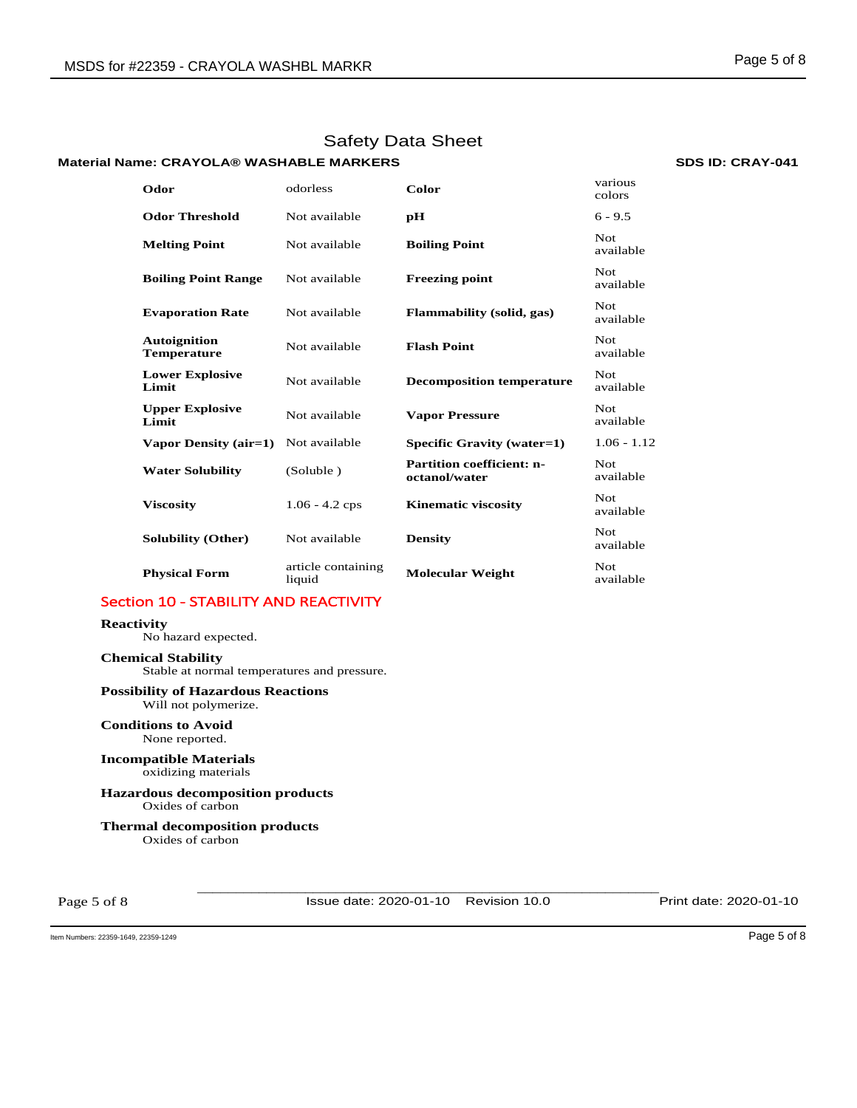# **Material Name: CRAYOLA® WASHABLE MARKERS SDS ID: CRAY-041**

| Odor                                      | odorless                     | Color                                             | various<br>colors       |
|-------------------------------------------|------------------------------|---------------------------------------------------|-------------------------|
| <b>Odor Threshold</b>                     | Not available                | pH                                                | $6 - 9.5$               |
| <b>Melting Point</b>                      | Not available                | <b>Boiling Point</b>                              | <b>Not</b><br>available |
| <b>Boiling Point Range</b>                | Not available                | <b>Freezing point</b>                             | <b>Not</b><br>available |
| <b>Evaporation Rate</b>                   | Not available                | <b>Flammability</b> (solid, gas)                  | <b>Not</b><br>available |
| <b>Autoignition</b><br><b>Temperature</b> | Not available                | <b>Flash Point</b>                                | Not.<br>available       |
| <b>Lower Explosive</b><br>Limit           | Not available                | <b>Decomposition temperature</b>                  | Not.<br>available       |
| <b>Upper Explosive</b><br>Limit           | Not available                | <b>Vapor Pressure</b>                             | <b>Not</b><br>available |
| Vapor Density (air=1)                     | Not available                | Specific Gravity (water=1)                        | $1.06 - 1.12$           |
| <b>Water Solubility</b>                   | (Soluble)                    | <b>Partition coefficient: n-</b><br>octanol/water | Not.<br>available       |
| <b>Viscosity</b>                          | $1.06 - 4.2$ cps             | <b>Kinematic viscosity</b>                        | Not.<br>available       |
| Solubility (Other)                        | Not available                | <b>Density</b>                                    | <b>Not</b><br>available |
| <b>Physical Form</b>                      | article containing<br>liquid | <b>Molecular Weight</b>                           | Not.<br>available       |

# Section 10 - STABILITY AND REACTIVITY

#### **Reactivity**

No hazard expected.

**Chemical Stability** Stable at normal temperatures and pressure.

#### **Possibility of Hazardous Reactions** Will not polymerize.

**Conditions to Avoid** None reported.

#### **Incompatible Materials** oxidizing materials

**Hazardous decomposition products**  Oxides of carbon

**Thermal decomposition products**  Oxides of carbon

Page 5 of 8

\_\_\_\_\_\_\_\_\_\_\_\_\_\_\_\_\_\_\_\_\_\_\_\_\_\_\_\_\_\_\_\_\_\_\_\_\_\_\_\_\_\_\_\_\_\_\_\_\_\_\_\_\_\_\_\_\_\_\_\_ Issue date: 2020-01-10 Revision 10.0 Print date: 2020-01-10

Item Numbers: 22359-1649, 22359-1249 Page 5 of 8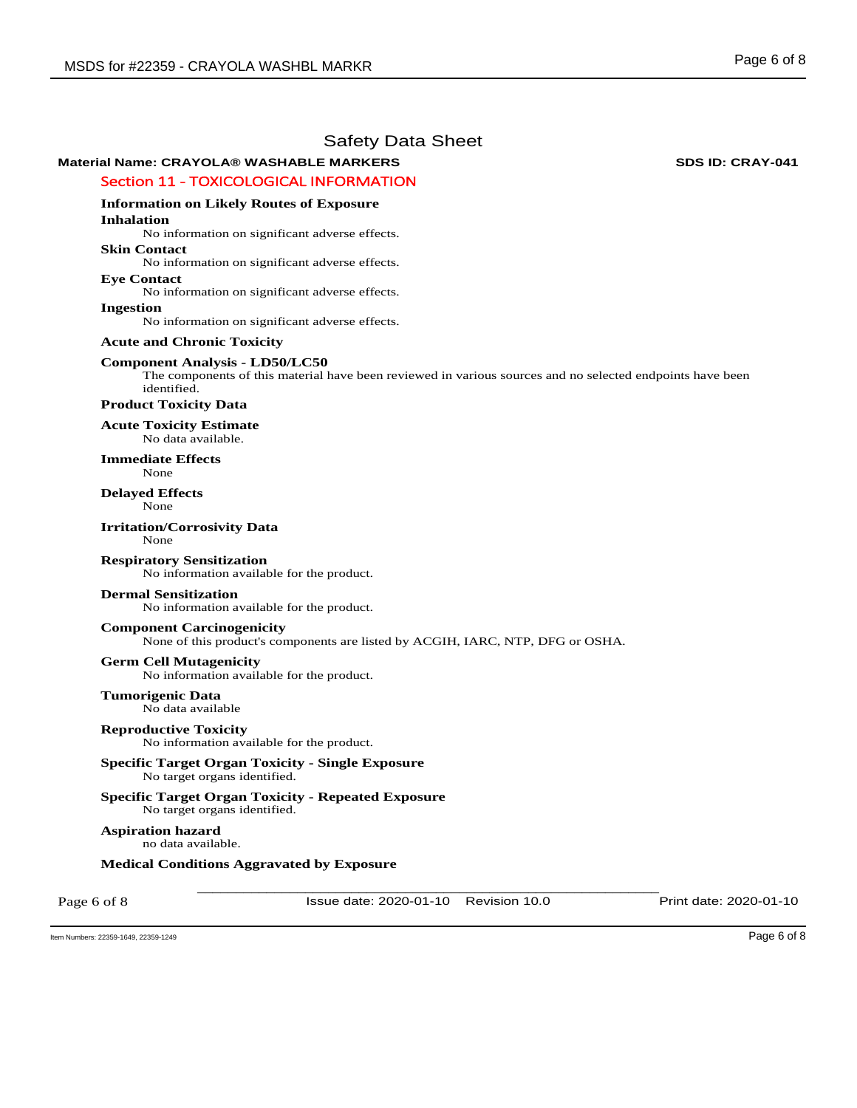# **Material Name: CRAYOLA® WASHABLE MARKERS 
WASHABLE MARKERS**

### Section 11 - TOXICOLOGICAL INFORMATION

# **Information on Likely Routes of Exposure**

**Inhalation** 

No information on significant adverse effects.

#### **Skin Contact**

No information on significant adverse effects.

#### **Eye Contact**

No information on significant adverse effects.

#### **Ingestion**

No information on significant adverse effects.

### **Acute and Chronic Toxicity**

# **Component Analysis - LD50/LC50**

The components of this material have been reviewed in various sources and no selected endpoints have been identified.

#### **Product Toxicity Data**

**Acute Toxicity Estimate**  No data available.

#### **Immediate Effects**  None

**Delayed Effects**  None

#### **Irritation/Corrosivity Data**  None

**Respiratory Sensitization** 

No information available for the product.

### **Dermal Sensitization**

No information available for the product.

### **Component Carcinogenicity**

None of this product's components are listed by ACGIH, IARC, NTP, DFG or OSHA.

### **Germ Cell Mutagenicity**

No information available for the product.

# **Tumorigenic Data**

No data available

#### **Reproductive Toxicity**  No information available for the product.

### **Specific Target Organ Toxicity - Single Exposure**  No target organs identified.

**Specific Target Organ Toxicity - Repeated Exposure**  No target organs identified.

# **Aspiration hazard**

no data available.

# **Medical Conditions Aggravated by Exposure**

Page 6 of 8

\_\_\_\_\_\_\_\_\_\_\_\_\_\_\_\_\_\_\_\_\_\_\_\_\_\_\_\_\_\_\_\_\_\_\_\_\_\_\_\_\_\_\_\_\_\_\_\_\_\_\_\_\_\_\_\_\_\_\_\_ Issue date: 2020-01-10 Revision 10.0 Print date: 2020-01-10

Item Numbers: 22359-1649, 22359-1249 Page 6 of 8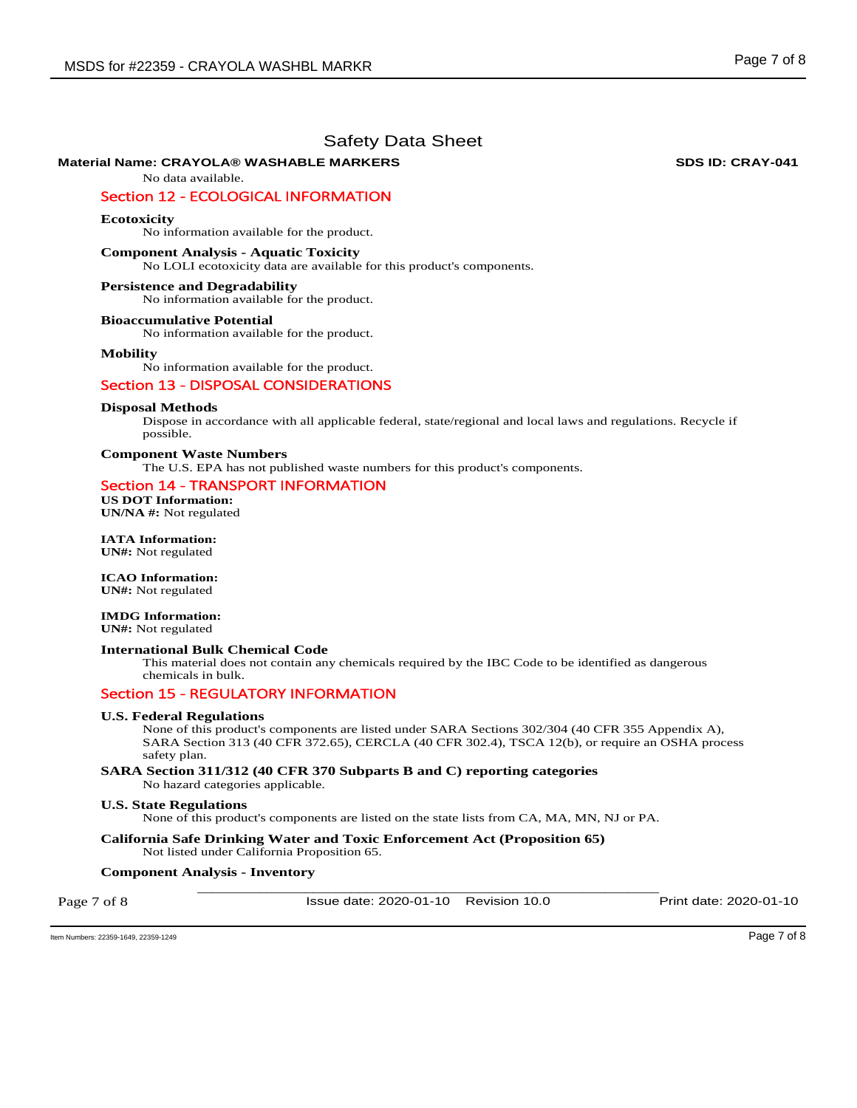### **Material Name: CRAYOLA® WASHABLE MARKERS 
WASHABLE MARKERS**

No data available.

# Section 12 - ECOLOGICAL INFORMATION

#### **Ecotoxicity**

No information available for the product.

#### **Component Analysis - Aquatic Toxicity**

No LOLI ecotoxicity data are available for this product's components.

#### **Persistence and Degradability**

No information available for the product.

#### **Bioaccumulative Potential**

No information available for the product.

#### **Mobility**

No information available for the product.

#### Section 13 - DISPOSAL CONSIDERATIONS

#### **Disposal Methods**

Dispose in accordance with all applicable federal, state/regional and local laws and regulations. Recycle if possible.

#### **Component Waste Numbers**

The U.S. EPA has not published waste numbers for this product's components.

# Section 14 - TRANSPORT INFORMATION

**US DOT Information: UN/NA #:** Not regulated

**IATA Information: UN#:** Not regulated

#### **ICAO Information: UN#:** Not regulated

# **IMDG Information:**

**UN#:** Not regulated

### **International Bulk Chemical Code**

This material does not contain any chemicals required by the IBC Code to be identified as dangerous chemicals in bulk.

#### Section 15 - REGULATORY INFORMATION

#### **U.S. Federal Regulations**

None of this product's components are listed under SARA Sections 302/304 (40 CFR 355 Appendix A), SARA Section 313 (40 CFR 372.65), CERCLA (40 CFR 302.4), TSCA 12(b), or require an OSHA process safety plan.

#### **SARA Section 311/312 (40 CFR 370 Subparts B and C) reporting categories**  No hazard categories applicable.

#### **U.S. State Regulations**

None of this product's components are listed on the state lists from CA, MA, MN, NJ or PA.

**California Safe Drinking Water and Toxic Enforcement Act (Proposition 65)**  Not listed under California Proposition 65.

#### \_\_\_\_\_\_\_\_\_\_\_\_\_\_\_\_\_\_\_\_\_\_\_\_\_\_\_\_\_\_\_\_\_\_\_\_\_\_\_\_\_\_\_\_\_\_\_\_\_\_\_\_\_\_\_\_\_\_\_\_ **Component Analysis - Inventory**

Page 7 of 8

Issue date: 2020-01-10 Revision 10.0 Print date: 2020-01-10

Item Numbers: 22359-1649, 22359-1249 Page 7 of 8